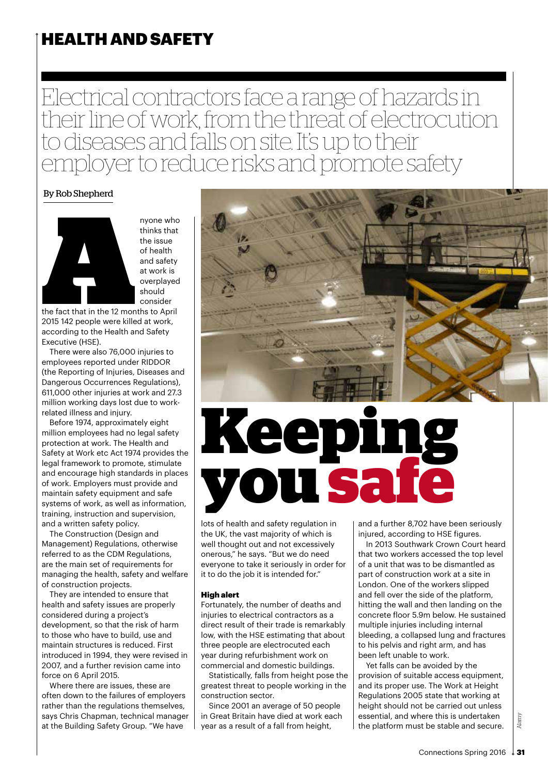### HEALTH AND SAFETY

Electrical contractors face a range of hazards in their line of work, from the threat of electrocution to diseases and falls on site. It's up to their employer to reduce risks and promote safety

#### By Rob Shepherd



thinks that the issue of health and safety at work is overplayed should consider

the fact that in the 12 months to April 2015 142 people were killed at work, according to the Health and Safety Executive (HSE).

There were also 76,000 injuries to employees reported under RIDDOR (the Reporting of Injuries, Diseases and Dangerous Occurrences Regulations), 611,000 other injuries at work and 27.3 million working days lost due to workrelated illness and injury.

Before 1974, approximately eight million employees had no legal safety protection at work. The Health and Safety at Work etc Act 1974 provides the legal framework to promote, stimulate and encourage high standards in places of work. Employers must provide and maintain safety equipment and safe systems of work, as well as information, training, instruction and supervision, and a written safety policy.

The Construction (Design and Management) Regulations, otherwise referred to as the CDM Regulations, are the main set of requirements for managing the health, safety and welfare of construction projects.

They are intended to ensure that health and safety issues are properly considered during a project's development, so that the risk of harm to those who have to build, use and maintain structures is reduced. First introduced in 1994, they were revised in 2007, and a further revision came into force on 6 April 2015.

Where there are issues, these are often down to the failures of employers rather than the regulations themselves, says Chris Chapman, technical manager at the Building Safety Group. "We have



# **Keeping you safe**

lots of health and safety regulation in the UK, the vast majority of which is well thought out and not excessively onerous," he says. "But we do need everyone to take it seriously in order for it to do the job it is intended for."

#### High alert

Fortunately, the number of deaths and injuries to electrical contractors as a direct result of their trade is remarkably low, with the HSE estimating that about three people are electrocuted each year during refurbishment work on commercial and domestic buildings.

Statistically, falls from height pose the greatest threat to people working in the construction sector.

Since 2001 an average of 50 people in Great Britain have died at work each year as a result of a fall from height,

and a further 8,702 have been seriously injured, according to HSE figures.

In 2013 Southwark Crown Court heard that two workers accessed the top level of a unit that was to be dismantled as part of construction work at a site in London. One of the workers slipped and fell over the side of the platform, hitting the wall and then landing on the concrete floor 5.9m below. He sustained multiple injuries including internal bleeding, a collapsed lung and fractures to his pelvis and right arm, and has been left unable to work.

Yet falls can be avoided by the provision of suitable access equipment, and its proper use. The Work at Height Regulations 2005 state that working at height should not be carried out unless essential, and where this is undertaken the platform must be stable and secure.

Alamy